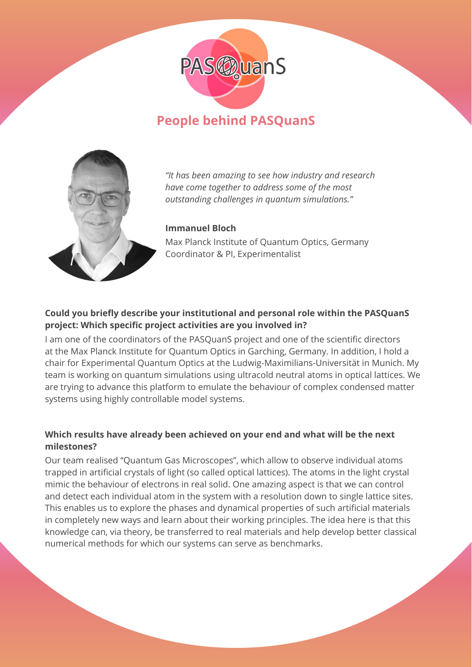

# **People behind PASQuanS**



*"It has been amazing to see how industry and research have come together to address some of the most outstanding challenges in quantum simulations."*

#### **Immanuel Bloch**

Max Planck Institute of Quantum Optics, Germany Coordinator & PI, Experimentalist

## **Could you briefly describe your institutional and personal role within the PASQuanS project: Which specific project activities are you involved in?**

I am one of the coordinators of the PASQuanS project and one of the scientific directors at the Max Planck Institute for Quantum Optics in Garching, Germany. In addition, I hold a chair for Experimental Quantum Optics at the Ludwig-Maximilians-Universität in Munich. My team is working on quantum simulations using ultracold neutral atoms in optical lattices. We are trying to advance this platform to emulate the behaviour of complex condensed matter systems using highly controllable model systems.

#### **Which results have already been achieved on your end and what will be the next milestones?**

Our team realised "Quantum Gas Microscopes", which allow to observe individual atoms trapped in artificial crystals of light (so called optical lattices). The atoms in the light crystal mimic the behaviour of electrons in real solid. One amazing aspect is that we can control and detect each individual atom in the system with a resolution down to single lattice sites. This enables us to explore the phases and dynamical properties of such artificial materials in completely new ways and learn about their working principles. The idea here is that this knowledge can, via theory, be transferred to real materials and help develop better classical numerical methods for which our systems can serve as benchmarks.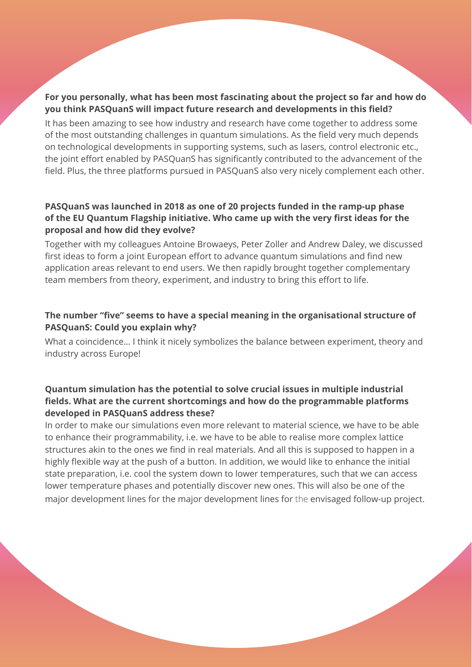#### **For you personally, what has been most fascinating about the project so far and how do you think PASQuanS will impact future research and developments in this field?**

It has been amazing to see how industry and research have come together to address some of the most outstanding challenges in quantum simulations. As the field very much depends on technological developments in supporting systems, such as lasers, control electronic etc., the joint effort enabled by PASQuanS has significantly contributed to the advancement of the field. Plus, the three platforms pursued in PASQuanS also very nicely complement each other.

#### **PASQuanS was launched in 2018 as one of 20 projects funded in the ramp-up phase of the EU Quantum Flagship initiative. Who came up with the very first ideas for the proposal and how did they evolve?**

Together with my colleagues Antoine Browaeys, Peter Zoller and Andrew Daley, we discussed first ideas to form a joint European effort to advance quantum simulations and find new application areas relevant to end users. We then rapidly brought together complementary team members from theory, experiment, and industry to bring this effort to life.

## **The number "five" seems to have a special meaning in the organisational structure of PASQuanS: Could you explain why?**

What a coincidence… I think it nicely symbolizes the balance between experiment, theory and industry across Europe!

### **Quantum simulation has the potential to solve crucial issues in multiple industrial fields. What are the current shortcomings and how do the programmable platforms developed in PASQuanS address these?**

In order to make our simulations even more relevant to material science, we have to be able to enhance their programmability, i.e. we have to be able to realise more complex lattice structures akin to the ones we find in real materials. And all this is supposed to happen in a highly flexible way at the push of a button. In addition, we would like to enhance the initial state preparation, i.e. cool the system down to lower temperatures, such that we can access lower temperature phases and potentially discover new ones. This will also be one of the major development lines for the major development lines for the envisaged follow-up project.